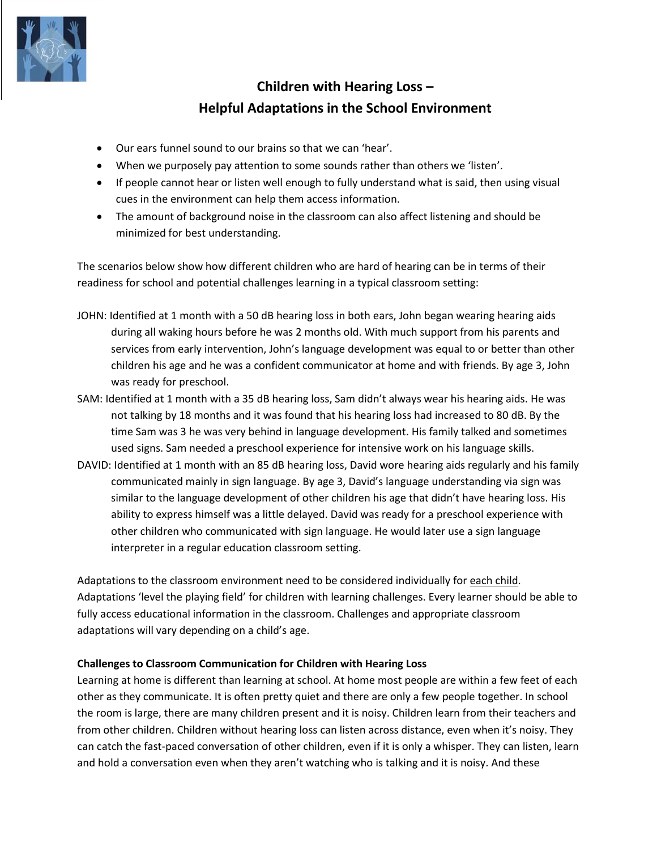

# **Children with Hearing Loss – Helpful Adaptations in the School Environment**

- Our ears funnel sound to our brains so that we can 'hear'.
- When we purposely pay attention to some sounds rather than others we 'listen'.
- If people cannot hear or listen well enough to fully understand what is said, then using visual cues in the environment can help them access information.
- The amount of background noise in the classroom can also affect listening and should be minimized for best understanding.

The scenarios below show how different children who are hard of hearing can be in terms of their readiness for school and potential challenges learning in a typical classroom setting:

- JOHN: Identified at 1 month with a 50 dB hearing loss in both ears, John began wearing hearing aids during all waking hours before he was 2 months old. With much support from his parents and services from early intervention, John's language development was equal to or better than other children his age and he was a confident communicator at home and with friends. By age 3, John was ready for preschool.
- SAM: Identified at 1 month with a 35 dB hearing loss, Sam didn't always wear his hearing aids. He was not talking by 18 months and it was found that his hearing loss had increased to 80 dB. By the time Sam was 3 he was very behind in language development. His family talked and sometimes used signs. Sam needed a preschool experience for intensive work on his language skills.
- DAVID: Identified at 1 month with an 85 dB hearing loss, David wore hearing aids regularly and his family communicated mainly in sign language. By age 3, David's language understanding via sign was similar to the language development of other children his age that didn't have hearing loss. His ability to express himself was a little delayed. David was ready for a preschool experience with other children who communicated with sign language. He would later use a sign language interpreter in a regular education classroom setting.

Adaptations to the classroom environment need to be considered individually for each child. Adaptations 'level the playing field' for children with learning challenges. Every learner should be able to fully access educational information in the classroom. Challenges and appropriate classroom adaptations will vary depending on a child's age.

## **Challenges to Classroom Communication for Children with Hearing Loss**

Learning at home is different than learning at school. At home most people are within a few feet of each other as they communicate. It is often pretty quiet and there are only a few people together. In school the room is large, there are many children present and it is noisy. Children learn from their teachers and from other children. Children without hearing loss can listen across distance, even when it's noisy. They can catch the fast-paced conversation of other children, even if it is only a whisper. They can listen, learn and hold a conversation even when they aren't watching who is talking and it is noisy. And these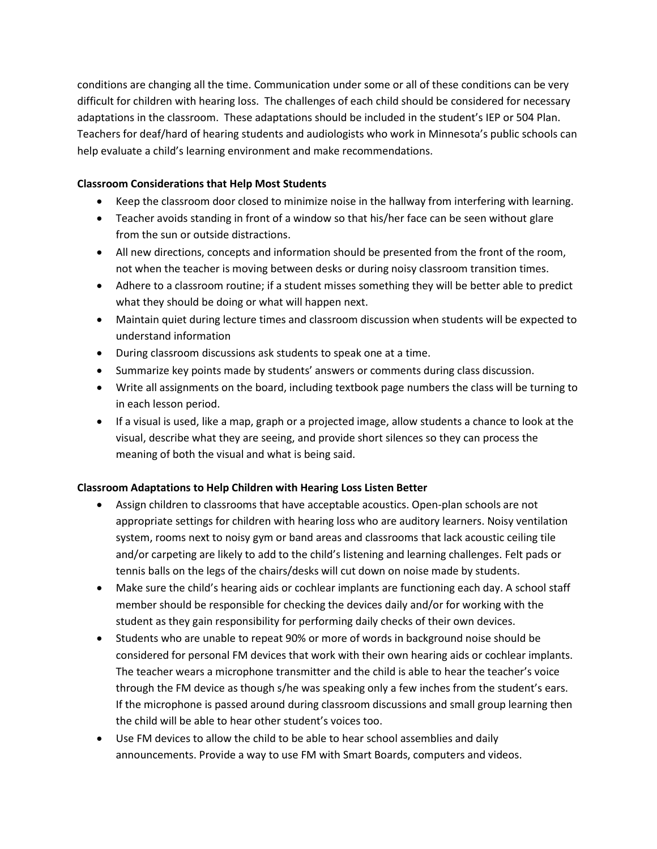conditions are changing all the time. Communication under some or all of these conditions can be very difficult for children with hearing loss. The challenges of each child should be considered for necessary adaptations in the classroom. These adaptations should be included in the student's IEP or 504 Plan. Teachers for deaf/hard of hearing students and audiologists who work in Minnesota's public schools can help evaluate a child's learning environment and make recommendations.

#### **Classroom Considerations that Help Most Students**

- Keep the classroom door closed to minimize noise in the hallway from interfering with learning.
- Teacher avoids standing in front of a window so that his/her face can be seen without glare from the sun or outside distractions.
- All new directions, concepts and information should be presented from the front of the room, not when the teacher is moving between desks or during noisy classroom transition times.
- Adhere to a classroom routine; if a student misses something they will be better able to predict what they should be doing or what will happen next.
- Maintain quiet during lecture times and classroom discussion when students will be expected to understand information
- During classroom discussions ask students to speak one at a time.
- Summarize key points made by students' answers or comments during class discussion.
- Write all assignments on the board, including textbook page numbers the class will be turning to in each lesson period.
- If a visual is used, like a map, graph or a projected image, allow students a chance to look at the visual, describe what they are seeing, and provide short silences so they can process the meaning of both the visual and what is being said.

#### **Classroom Adaptations to Help Children with Hearing Loss Listen Better**

- Assign children to classrooms that have acceptable acoustics. Open-plan schools are not appropriate settings for children with hearing loss who are auditory learners. Noisy ventilation system, rooms next to noisy gym or band areas and classrooms that lack acoustic ceiling tile and/or carpeting are likely to add to the child's listening and learning challenges. Felt pads or tennis balls on the legs of the chairs/desks will cut down on noise made by students.
- Make sure the child's hearing aids or cochlear implants are functioning each day. A school staff member should be responsible for checking the devices daily and/or for working with the student as they gain responsibility for performing daily checks of their own devices.
- Students who are unable to repeat 90% or more of words in background noise should be considered for personal FM devices that work with their own hearing aids or cochlear implants. The teacher wears a microphone transmitter and the child is able to hear the teacher's voice through the FM device as though s/he was speaking only a few inches from the student's ears. If the microphone is passed around during classroom discussions and small group learning then the child will be able to hear other student's voices too.
- Use FM devices to allow the child to be able to hear school assemblies and daily announcements. Provide a way to use FM with Smart Boards, computers and videos.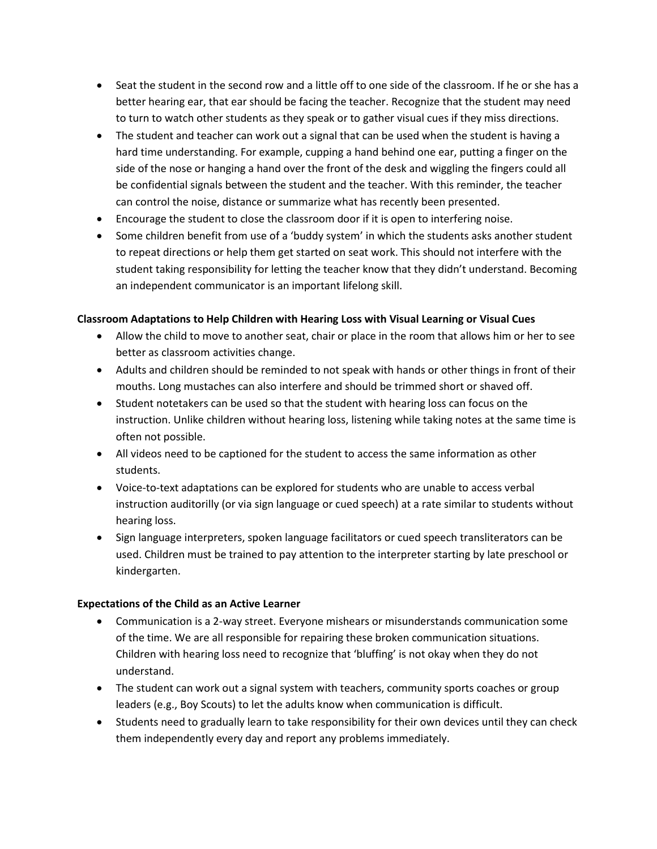- Seat the student in the second row and a little off to one side of the classroom. If he or she has a better hearing ear, that ear should be facing the teacher. Recognize that the student may need to turn to watch other students as they speak or to gather visual cues if they miss directions.
- The student and teacher can work out a signal that can be used when the student is having a hard time understanding. For example, cupping a hand behind one ear, putting a finger on the side of the nose or hanging a hand over the front of the desk and wiggling the fingers could all be confidential signals between the student and the teacher. With this reminder, the teacher can control the noise, distance or summarize what has recently been presented.
- Encourage the student to close the classroom door if it is open to interfering noise.
- Some children benefit from use of a 'buddy system' in which the students asks another student to repeat directions or help them get started on seat work. This should not interfere with the student taking responsibility for letting the teacher know that they didn't understand. Becoming an independent communicator is an important lifelong skill.

## **Classroom Adaptations to Help Children with Hearing Loss with Visual Learning or Visual Cues**

- Allow the child to move to another seat, chair or place in the room that allows him or her to see better as classroom activities change.
- Adults and children should be reminded to not speak with hands or other things in front of their mouths. Long mustaches can also interfere and should be trimmed short or shaved off.
- Student notetakers can be used so that the student with hearing loss can focus on the instruction. Unlike children without hearing loss, listening while taking notes at the same time is often not possible.
- All videos need to be captioned for the student to access the same information as other students.
- Voice-to-text adaptations can be explored for students who are unable to access verbal instruction auditorilly (or via sign language or cued speech) at a rate similar to students without hearing loss.
- Sign language interpreters, spoken language facilitators or cued speech transliterators can be used. Children must be trained to pay attention to the interpreter starting by late preschool or kindergarten.

## **Expectations of the Child as an Active Learner**

- Communication is a 2-way street. Everyone mishears or misunderstands communication some of the time. We are all responsible for repairing these broken communication situations. Children with hearing loss need to recognize that 'bluffing' is not okay when they do not understand.
- The student can work out a signal system with teachers, community sports coaches or group leaders (e.g., Boy Scouts) to let the adults know when communication is difficult.
- Students need to gradually learn to take responsibility for their own devices until they can check them independently every day and report any problems immediately.